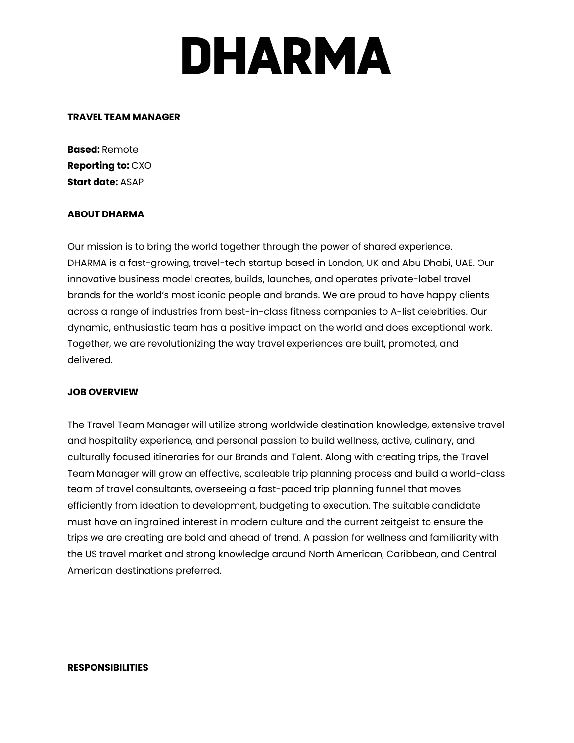# DHARMA

### **TRAVEL TEAM MANAGER**

**Based:** Remote **Reporting to:** CXO **Start date:** ASAP

## **ABOUT DHARMA**

Our mission is to bring the world together through the power of shared experience. DHARMA is a fast-growing, travel-tech startup based in London, UK and Abu Dhabi, UAE. Our innovative business model creates, builds, launches, and operates private-label travel brands for the world's most iconic people and brands. We are proud to have happy clients across a range of industries from best-in-class fitness companies to A-list celebrities. Our dynamic, enthusiastic team has a positive impact on the world and does exceptional work. Together, we are revolutionizing the way travel experiences are built, promoted, and delivered.

### **JOB OVERVIEW**

The Travel Team Manager will utilize strong worldwide destination knowledge, extensive travel and hospitality experience, and personal passion to build wellness, active, culinary, and culturally focused itineraries for our Brands and Talent. Along with creating trips, the Travel Team Manager will grow an effective, scaleable trip planning process and build a world-class team of travel consultants, overseeing a fast-paced trip planning funnel that moves efficiently from ideation to development, budgeting to execution. The suitable candidate must have an ingrained interest in modern culture and the current zeitgeist to ensure the trips we are creating are bold and ahead of trend. A passion for wellness and familiarity with the US travel market and strong knowledge around North American, Caribbean, and Central American destinations preferred.

### **RESPONSIBILITIES**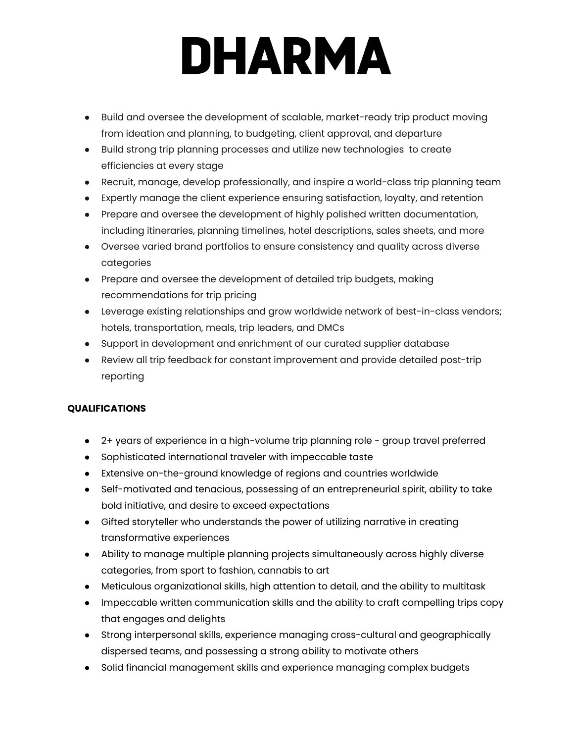# **DHARMA**

- Build and oversee the development of scalable, market-ready trip product moving from ideation and planning, to budgeting, client approval, and departure
- Build strong trip planning processes and utilize new technologies to create efficiencies at every stage
- Recruit, manage, develop professionally, and inspire a world-class trip planning team
- Expertly manage the client experience ensuring satisfaction, loyalty, and retention
- Prepare and oversee the development of highly polished written documentation, including itineraries, planning timelines, hotel descriptions, sales sheets, and more
- Oversee varied brand portfolios to ensure consistency and quality across diverse categories
- Prepare and oversee the development of detailed trip budgets, making recommendations for trip pricing
- Leverage existing relationships and grow worldwide network of best-in-class vendors; hotels, transportation, meals, trip leaders, and DMCs
- Support in development and enrichment of our curated supplier database
- Review all trip feedback for constant improvement and provide detailed post-trip reporting

# **QUALIFICATIONS**

- 2+ years of experience in a high-volume trip planning role group travel preferred
- Sophisticated international traveler with impeccable taste
- Extensive on-the-ground knowledge of regions and countries worldwide
- Self-motivated and tenacious, possessing of an entrepreneurial spirit, ability to take bold initiative, and desire to exceed expectations
- Gifted storyteller who understands the power of utilizing narrative in creating transformative experiences
- Ability to manage multiple planning projects simultaneously across highly diverse categories, from sport to fashion, cannabis to art
- Meticulous organizational skills, high attention to detail, and the ability to multitask
- Impeccable written communication skills and the ability to craft compelling trips copy that engages and delights
- Strong interpersonal skills, experience managing cross-cultural and geographically dispersed teams, and possessing a strong ability to motivate others
- Solid financial management skills and experience managing complex budgets